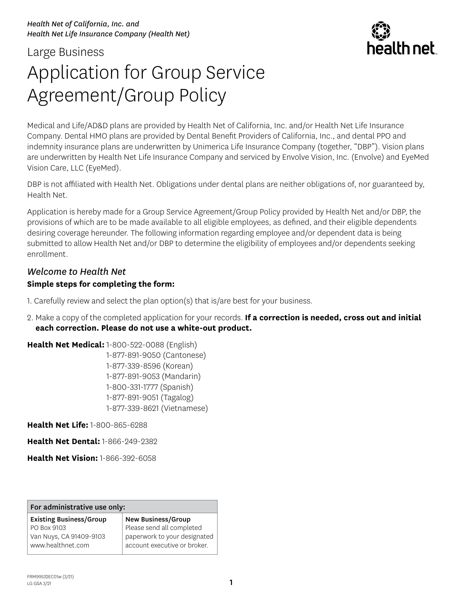## Large Business Application for Group Service Agreement/Group Policy

Medical and Life/AD&D plans are provided by Health Net of California, Inc. and/or Health Net Life Insurance Company. Dental HMO plans are provided by Dental Benefit Providers of California, Inc., and dental PPO and indemnity insurance plans are underwritten by Unimerica Life Insurance Company (together, "DBP"). Vision plans are underwritten by Health Net Life Insurance Company and serviced by Envolve Vision, Inc. (Envolve) and EyeMed Vision Care, LLC (EyeMed).

DBP is not affiliated with Health Net. Obligations under dental plans are neither obligations of, nor guaranteed by, Health Net.

 desiring coverage hereunder. The following information regarding employee and/or dependent data is being submitted to allow Health Net and/or DBP to determine the eligibility of employees and/or dependents seeking Application is hereby made for a Group Service Agreement/Group Policy provided by Health Net and/or DBP, the provisions of which are to be made available to all eligible employees, as defined, and their eligible dependents enrollment.

## *Welcome to Health Net*  **Simple steps for completing the form:**

1. Carefully review and select the plan option(s) that is/are best for your business.

2. Make a copy of the completed application for your records. **If a correction is needed, cross out and initial each correction. Please do not use a white-out product.** 

**Health Net Medical:** 1-800-522-0088 (English)

1-877-891-9050 (Cantonese) 1-877-339-8596 (Korean) 1-877-891-9053 (Mandarin) 1-800-331-1777 (Spanish) 1-877-891-9051 (Tagalog) 1-877-339-8621 (Vietnamese)

**Health Net Life:** 1-800-865-6288

**Health Net Dental:** 1-866-249-2382

**Health Net Vision:** 1-866-392-6058

### For administrative use only:

| <b>Existing Business/Group</b> | New Business/Group           |
|--------------------------------|------------------------------|
| PO Box 9103                    | Please send all completed    |
| Van Nuys, CA 91409-9103        | paperwork to your designated |
| www.healthnet.com              | account executive or broker. |

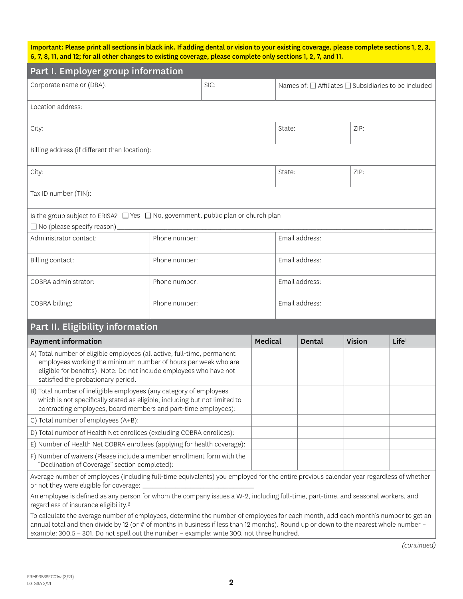Important: Please print all sections in black ink. If adding dental or vision to your existing coverage, please complete sections 1, 2, 3, 6, 7, 8, 11, and 12; for all other changes to existing coverage, please complete only sections 1, 2, 7, and 11.

| Part I. Employer group information                                                                                                                                                                                                                     |               |  |         |                                                                |                |               |                   |  |
|--------------------------------------------------------------------------------------------------------------------------------------------------------------------------------------------------------------------------------------------------------|---------------|--|---------|----------------------------------------------------------------|----------------|---------------|-------------------|--|
| Corporate name or (DBA):<br>SIC:                                                                                                                                                                                                                       |               |  |         | Names of: $\Box$ Affiliates $\Box$ Subsidiaries to be included |                |               |                   |  |
| Location address:                                                                                                                                                                                                                                      |               |  |         |                                                                |                |               |                   |  |
| City:                                                                                                                                                                                                                                                  |               |  |         | State:                                                         |                | ZIP:          |                   |  |
| Billing address (if different than location):                                                                                                                                                                                                          |               |  |         |                                                                |                |               |                   |  |
| City:                                                                                                                                                                                                                                                  |               |  |         | State:                                                         |                | ZIP:          |                   |  |
| Tax ID number (TIN):                                                                                                                                                                                                                                   |               |  |         |                                                                |                |               |                   |  |
| Is the group subject to ERISA? □ Yes □ No, government, public plan or church plan<br>$\Box$ No (please specify reason)                                                                                                                                 |               |  |         |                                                                |                |               |                   |  |
| Administrator contact:                                                                                                                                                                                                                                 | Phone number: |  |         |                                                                | Email address: |               |                   |  |
| Billing contact:                                                                                                                                                                                                                                       | Phone number: |  |         | Email address:                                                 |                |               |                   |  |
| COBRA administrator:                                                                                                                                                                                                                                   | Phone number: |  |         | Email address:                                                 |                |               |                   |  |
| COBRA billing:                                                                                                                                                                                                                                         | Phone number: |  |         | Email address:                                                 |                |               |                   |  |
| Part II. Eligibility information                                                                                                                                                                                                                       |               |  |         |                                                                |                |               |                   |  |
| <b>Payment information</b>                                                                                                                                                                                                                             |               |  | Medical |                                                                | Dental         | <b>Vision</b> | Life <sup>1</sup> |  |
| A) Total number of eligible employees (all active, full-time, permanent<br>employees working the minimum number of hours per week who are<br>eligible for benefits): Note: Do not include employees who have not<br>satisfied the probationary period. |               |  |         |                                                                |                |               |                   |  |
| B) Total number of ineligible employees (any category of employees<br>which is not specifically stated as eligible, including but not limited to<br>contracting employees, board members and part-time employees):                                     |               |  |         |                                                                |                |               |                   |  |
| C) Total number of employees (A+B):                                                                                                                                                                                                                    |               |  |         |                                                                |                |               |                   |  |
| D) Total number of Health Net enrollees (excluding COBRA enrollees):                                                                                                                                                                                   |               |  |         |                                                                |                |               |                   |  |
| E) Number of Health Net COBRA enrollees (applying for health coverage):                                                                                                                                                                                |               |  |         |                                                                |                |               |                   |  |
| F) Number of waivers (Please include a member enrollment form with the<br>"Declination of Coverage" section completed):                                                                                                                                |               |  |         |                                                                |                |               |                   |  |
| Average number of employees (including full-time equivalents) you employed for the entire previous calendar year regardless of whether<br>or not they were eligible for coverage: _                                                                    |               |  |         |                                                                |                |               |                   |  |
| An employee is defined as any person for whom the company issues a W-2, including full-time, part-time, and seasonal workers, and<br>regardless of insurance eligibility. <sup>2</sup>                                                                 |               |  |         |                                                                |                |               |                   |  |
| To calculate the average number of employees, determine the number of employees for each month, add each month's number to get an                                                                                                                      |               |  |         |                                                                |                |               |                   |  |

To calculate the average number of employees, determine the number of employees for each month, add each month's number to get an annual total and then divide by 12 (or # of months in business if less than 12 months). Round up or down to the nearest whole number – example: 300.5 = 301. Do not spell out the number – example: write 300, not three hundred.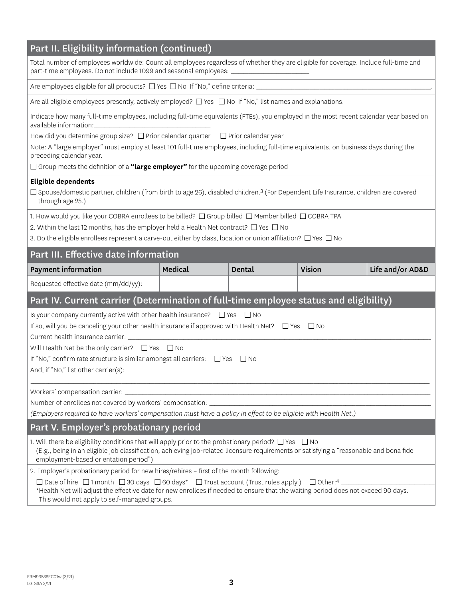## Part II. Eligibility information (continued)

Total number of employees worldwide: Count all employees regardless of whether they are eligible for coverage. Include full-time and part-time employees. Do not include 1099 and seasonal employees:

Are employees eligible for all products? ■ Yes ■ No If "No," define criteria: \_\_\_\_\_\_\_\_\_\_\_\_\_\_\_\_\_\_\_\_\_\_\_\_\_\_\_\_\_\_\_\_\_\_\_\_\_\_\_\_\_\_\_\_\_\_\_\_\_\_\_\_\_\_\_\_\_\_\_\_\_\_\_\_\_\_\_\_\_.

Are all eligible employees presently, actively employed?  $\Box$  Yes  $\Box$  No If "No," list names and explanations.

Indicate how many full-time employees, including full-time equivalents (FTEs), you employed in the most recent calendar year based on available information:

How did you determine group size? □ Prior calendar quarter □ Prior calendar year

Note: A "large employer" must employ at least 101 full-time employees, including full-time equivalents, on business days during the preceding calendar year.

□ Group meets the definition of a "large employer" for the upcoming coverage period

### **Eligible dependents**

 $\Box$  Spouse/domestic partner, children (from birth to age 26), disabled children.<sup>3</sup> (For Dependent Life Insurance, children are covered through age 25.)

through age 25.)<br>1. How would you like your COBRA enrollees to be billed? □ Group billed □ Member billed □ COBRA TPA<br>2. Within the last 12 months, has the employer held a Health Net contract? □ Yes □ No

2. Within the last 12 months, has the employer held a Health Net contract?  $\Box$  Yes  $\Box$  No

3. Do the eligible enrollees represent a carve-out either by class, location or union affiliation?  $\Box$  Yes  $\Box$  No

### Part III. Effective date information

| <b>Payment information</b>                                                                                                                                                                                                                                                                                                                                                           | Medical | Dental | <b>Vision</b> | Life and/or AD&D |  |  |  |  |  |
|--------------------------------------------------------------------------------------------------------------------------------------------------------------------------------------------------------------------------------------------------------------------------------------------------------------------------------------------------------------------------------------|---------|--------|---------------|------------------|--|--|--|--|--|
| Requested effective date (mm/dd/yy):                                                                                                                                                                                                                                                                                                                                                 |         |        |               |                  |  |  |  |  |  |
| Part IV. Current carrier (Determination of full-time employee status and eligibility)                                                                                                                                                                                                                                                                                                |         |        |               |                  |  |  |  |  |  |
| Is your company currently active with other health insurance? $\Box$ Yes $\Box$ No<br>If so, will you be canceling your other health insurance if approved with Health Net? □ Yes □ No<br>Will Health Net be the only carrier? $\Box$ Yes $\Box$ No<br>If "No," confirm rate structure is similar amongst all carriers: $\Box$ Yes $\Box$ No<br>And, if "No," list other carrier(s): |         |        |               |                  |  |  |  |  |  |
|                                                                                                                                                                                                                                                                                                                                                                                      |         |        |               |                  |  |  |  |  |  |
| Number of enrollees not covered by workers' compensation: ______________________                                                                                                                                                                                                                                                                                                     |         |        |               |                  |  |  |  |  |  |
| (Employers required to have workers' compensation must have a policy in effect to be eligible with Health Net.)                                                                                                                                                                                                                                                                      |         |        |               |                  |  |  |  |  |  |
| Part V. Employer's probationary period                                                                                                                                                                                                                                                                                                                                               |         |        |               |                  |  |  |  |  |  |
| 1. Will there be eligibility conditions that will apply prior to the probationary period? $\Box$ Yes $\Box$ No<br>(E.g., being in an eligible job classification, achieving job-related licensure requirements or satisfying a "reasonable and bona fide<br>employment-based orientation period")                                                                                    |         |        |               |                  |  |  |  |  |  |
| 2. Employer's probationary period for new hires/rehires - first of the month following:                                                                                                                                                                                                                                                                                              |         |        |               |                  |  |  |  |  |  |
| $\Box$ Date of hire $\Box$ 1 month $\Box$ 30 days $\Box$ 60 days* $\Box$ Trust account (Trust rules apply.) $\Box$ Other: 4                                                                                                                                                                                                                                                          |         |        |               |                  |  |  |  |  |  |
| *Health Net will adjust the effective date for new enrollees if needed to ensure that the waiting period does not exceed 90 days.<br>This would not apply to self-managed groups.                                                                                                                                                                                                    |         |        |               |                  |  |  |  |  |  |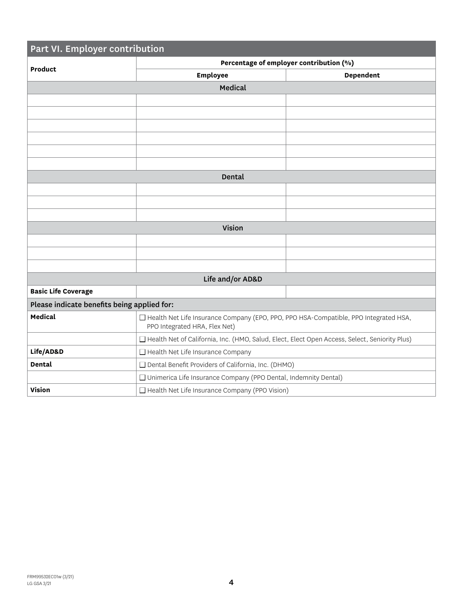| Part VI. Employer contribution              |                                                                                                                         |                                         |  |  |  |  |  |  |  |
|---------------------------------------------|-------------------------------------------------------------------------------------------------------------------------|-----------------------------------------|--|--|--|--|--|--|--|
|                                             |                                                                                                                         | Percentage of employer contribution (%) |  |  |  |  |  |  |  |
| <b>Product</b>                              | <b>Employee</b>                                                                                                         | <b>Dependent</b>                        |  |  |  |  |  |  |  |
|                                             | Medical                                                                                                                 |                                         |  |  |  |  |  |  |  |
|                                             |                                                                                                                         |                                         |  |  |  |  |  |  |  |
|                                             |                                                                                                                         |                                         |  |  |  |  |  |  |  |
|                                             |                                                                                                                         |                                         |  |  |  |  |  |  |  |
|                                             |                                                                                                                         |                                         |  |  |  |  |  |  |  |
|                                             |                                                                                                                         |                                         |  |  |  |  |  |  |  |
|                                             |                                                                                                                         |                                         |  |  |  |  |  |  |  |
|                                             | Dental                                                                                                                  |                                         |  |  |  |  |  |  |  |
|                                             |                                                                                                                         |                                         |  |  |  |  |  |  |  |
|                                             |                                                                                                                         |                                         |  |  |  |  |  |  |  |
|                                             |                                                                                                                         |                                         |  |  |  |  |  |  |  |
|                                             | Vision                                                                                                                  |                                         |  |  |  |  |  |  |  |
|                                             |                                                                                                                         |                                         |  |  |  |  |  |  |  |
|                                             |                                                                                                                         |                                         |  |  |  |  |  |  |  |
|                                             |                                                                                                                         |                                         |  |  |  |  |  |  |  |
|                                             | Life and/or AD&D                                                                                                        |                                         |  |  |  |  |  |  |  |
| <b>Basic Life Coverage</b>                  |                                                                                                                         |                                         |  |  |  |  |  |  |  |
| Please indicate benefits being applied for: |                                                                                                                         |                                         |  |  |  |  |  |  |  |
| Medical                                     | □ Health Net Life Insurance Company (EPO, PPO, PPO HSA-Compatible, PPO Integrated HSA,<br>PPO Integrated HRA, Flex Net) |                                         |  |  |  |  |  |  |  |
|                                             | □ Health Net of California, Inc. (HMO, Salud, Elect, Elect Open Access, Select, Seniority Plus)                         |                                         |  |  |  |  |  |  |  |
| Life/AD&D                                   | □ Health Net Life Insurance Company                                                                                     |                                         |  |  |  |  |  |  |  |
| Dental                                      | □ Dental Benefit Providers of California, Inc. (DHMO)                                                                   |                                         |  |  |  |  |  |  |  |
|                                             | □ Unimerica Life Insurance Company (PPO Dental, Indemnity Dental)                                                       |                                         |  |  |  |  |  |  |  |
| <b>Vision</b>                               | □ Health Net Life Insurance Company (PPO Vision)                                                                        |                                         |  |  |  |  |  |  |  |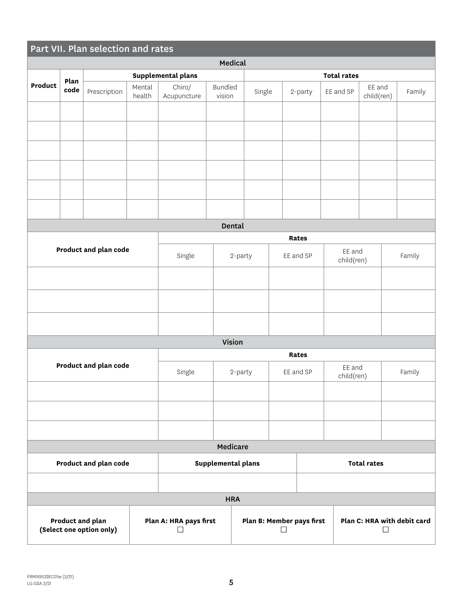|                |              | Part VII. Plan selection and rates           |                                                                                    |                       |                          |         |        |           |              |                      |                      |        |
|----------------|--------------|----------------------------------------------|------------------------------------------------------------------------------------|-----------------------|--------------------------|---------|--------|-----------|--------------|----------------------|----------------------|--------|
|                |              |                                              |                                                                                    |                       |                          | Medical |        |           |              |                      |                      |        |
|                |              |                                              |                                                                                    | Supplemental plans    |                          |         |        |           |              | <b>Total rates</b>   |                      |        |
| <b>Product</b> | Plan<br>code | Prescription                                 | Mental<br>health                                                                   | Chiro/<br>Acupuncture | <b>Bundled</b><br>vision |         | Single |           | 2-party      | EE and SP            | EE and<br>child(ren) | Family |
|                |              |                                              |                                                                                    |                       |                          |         |        |           |              |                      |                      |        |
|                |              |                                              |                                                                                    |                       |                          |         |        |           |              |                      |                      |        |
|                |              |                                              |                                                                                    |                       |                          |         |        |           |              |                      |                      |        |
|                |              |                                              |                                                                                    |                       |                          |         |        |           |              |                      |                      |        |
|                |              |                                              |                                                                                    |                       |                          |         |        |           |              |                      |                      |        |
|                |              |                                              |                                                                                    |                       |                          | Dental  |        |           |              |                      |                      |        |
|                |              |                                              |                                                                                    |                       |                          |         |        |           | <b>Rates</b> |                      |                      |        |
|                |              | Product and plan code                        |                                                                                    |                       |                          |         |        |           |              | EE and               |                      |        |
|                |              |                                              |                                                                                    | Single                |                          | 2-party |        |           | EE and SP    | child(ren)           |                      | Family |
|                |              |                                              |                                                                                    |                       |                          |         |        |           |              |                      |                      |        |
|                |              |                                              |                                                                                    |                       |                          |         |        |           |              |                      |                      |        |
|                |              |                                              |                                                                                    |                       |                          |         |        |           |              |                      |                      |        |
|                |              |                                              |                                                                                    |                       |                          | Vision  |        |           |              |                      |                      |        |
|                |              |                                              |                                                                                    |                       |                          |         |        |           | <b>Rates</b> |                      |                      |        |
|                |              | Product and plan code                        |                                                                                    | Single                | 2-party                  |         |        | EE and SP |              | EE and<br>child(ren) |                      | Family |
|                |              |                                              |                                                                                    |                       |                          |         |        |           |              |                      |                      |        |
|                |              |                                              |                                                                                    |                       |                          |         |        |           |              |                      |                      |        |
|                |              |                                              |                                                                                    |                       | Medicare                 |         |        |           |              |                      |                      |        |
|                |              | Product and plan code                        |                                                                                    |                       | Supplemental plans       |         |        |           |              |                      | <b>Total rates</b>   |        |
|                |              |                                              |                                                                                    |                       |                          |         |        |           |              |                      |                      |        |
| <b>HRA</b>     |              |                                              |                                                                                    |                       |                          |         |        |           |              |                      |                      |        |
|                |              | Product and plan<br>(Select one option only) | Plan A: HRA pays first<br>Plan B: Member pays first<br>Plan C: HRA with debit card |                       |                          |         |        |           |              |                      |                      |        |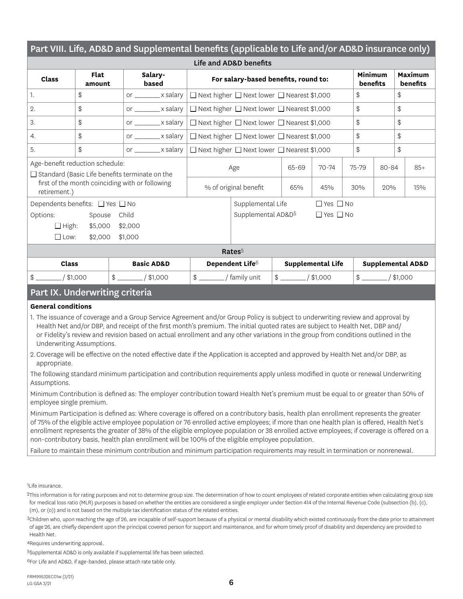| Part VIII. Life, AD&D and Supplemental benefits (applicable to Life and/or AD&D insurance only) |                |                                                                      |                                                                         |                                                                     |                |                          |                     |       |                              |
|-------------------------------------------------------------------------------------------------|----------------|----------------------------------------------------------------------|-------------------------------------------------------------------------|---------------------------------------------------------------------|----------------|--------------------------|---------------------|-------|------------------------------|
| Life and AD&D benefits                                                                          |                |                                                                      |                                                                         |                                                                     |                |                          |                     |       |                              |
| <b>Class</b>                                                                                    | Flat<br>amount | Salary-<br>based                                                     |                                                                         | For salary-based benefits, round to:                                |                |                          | Minimum<br>benefits |       | Maximum<br>benefits          |
| 1.                                                                                              | \$             | or _________ x salary   □ Next higher □ Next lower □ Nearest \$1,000 |                                                                         |                                                                     |                |                          | \$                  |       | \$                           |
| 2.                                                                                              | \$             | or ________ x salary   □ Next higher □ Next lower □ Nearest \$1,000  |                                                                         |                                                                     |                |                          | \$                  |       | \$                           |
| 3.                                                                                              | \$             | or $\_\_\_\_\$ x salary $\ $                                         | $\Box$ Next higher $\Box$ Next lower $\Box$ Nearest \$1,000             |                                                                     |                |                          | \$                  |       | \$                           |
| 4.                                                                                              | \$             | or $\_\_\_\_\$ x salary $\ $                                         | \$<br>\$<br>$\Box$ Next higher $\Box$ Next lower $\Box$ Nearest \$1,000 |                                                                     |                |                          |                     |       |                              |
| 5.                                                                                              | \$             |                                                                      |                                                                         | or ________ x salary   □ Next higher □ Next lower □ Nearest \$1,000 |                |                          |                     |       | \$                           |
| Age-benefit reduction schedule:<br>$\Box$ Standard (Basic Life benefits terminate on the        |                |                                                                      | Age                                                                     |                                                                     | 65-69          | $70 - 74$                | $75 - 79$           | 80-84 | $85+$                        |
| retirement.)                                                                                    |                | first of the month coinciding with or following                      |                                                                         | % of original benefit                                               | 65%            | 45%                      | 30%                 | 20%   | 15%                          |
| Dependents benefits: □ Yes □ No                                                                 |                |                                                                      |                                                                         | Supplemental Life                                                   |                | $\Box$ Yes $\Box$ No     |                     |       |                              |
| Options:                                                                                        | Spouse         | Child                                                                |                                                                         | Supplemental AD&D <sup>5</sup>                                      |                | $\Box$ Yes $\Box$ No     |                     |       |                              |
| $\Box$ High:                                                                                    | \$5,000        | \$2,000                                                              |                                                                         |                                                                     |                |                          |                     |       |                              |
| $\Box$ Low:                                                                                     | \$2,000        | \$1,000                                                              |                                                                         |                                                                     |                |                          |                     |       |                              |
| Rates <sup>5</sup>                                                                              |                |                                                                      |                                                                         |                                                                     |                |                          |                     |       |                              |
| Class                                                                                           |                | <b>Basic AD&amp;D</b>                                                |                                                                         | Dependent Life <sup>6</sup>                                         |                | <b>Supplemental Life</b> |                     |       | <b>Supplemental AD&amp;D</b> |
| $/$ \$1,000<br>$\frac{1}{2}$                                                                    |                | $$$ $/ $1,000$                                                       | $\frac{1}{2}$                                                           | / family unit                                                       | $$$ $/ $1,000$ |                          | $$$ $/$ \$1,000     |       |                              |

## Part IX. Underwriting criteria

### **General conditions**

- 1. The issuance of coverage and a Group Service Agreement and/or Group Policy is subject to underwriting review and approval by Health Net and/or DBP, and receipt of the first month's premium. The initial quoted rates are subject to Health Net, DBP and/ or Fidelity's review and revision based on actual enrollment and any other variations in the group from conditions outlined in the Underwriting Assumptions.
- 2.Coverage will be effective on the noted effective date if the Application is accepted and approved by Health Net and/or DBP, as appropriate.

The following standard minimum participation and contribution requirements apply unless modified in quote or renewal Underwriting Assumptions.

Minimum Contribution is defined as: The employer contribution toward Health Net's premium must be equal to or greater than 50% of employee single premium.

Minimum Participation is defined as: Where coverage is offered on a contributory basis, health plan enrollment represents the greater of 75% of the eligible active employee population or 76 enrolled active employees; if more than one health plan is offered, Health Net's enrollment represents the greater of 38% of the eligible employee population or 38 enrolled active employees; if coverage is offered on a non-contributory basis, health plan enrollment will be 100% of the eligible employee population.

Failure to maintain these minimum contribution and minimum participation requirements may result in termination or nonrenewal.

1Life insurance.

2This information is for rating purposes and not to determine group size. The determination of how to count employees of related corporate entities when calculating group size for medical loss ratio (MLR) purposes is based on whether the entities are considered a single employer under Section 414 of the Internal Revenue Code (subsection (b), (c), (m), or (o)) and is not based on the multiple tax identification status of the related entities.

3Children who, upon reaching the age of 26, are incapable of self-support because of a physical or mental disability which existed continuously from the date prior to attainment of age 26, are chiefly dependent upon the principal covered person for support and maintenance, and for whom timely proof of disability and dependency are provided to Health Net.

4Requires underwriting approval.

5Supplemental AD&D is only available if supplemental life has been selected.

6For Life and AD&D, if age-banded, please attach rate table only.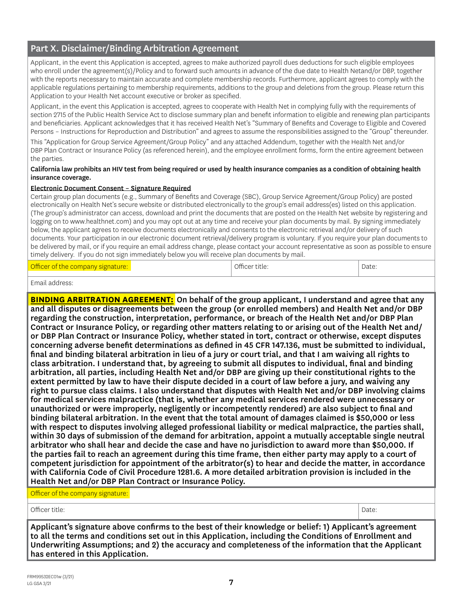## Part X. Disclaimer/Binding Arbitration Agreement

Applicant, in the event this Application is accepted, agrees to make authorized payroll dues deductions for such eligible employees who enroll under the agreement(s)/Policy and to forward such amounts in advance of the due date to Health Netand/or DBP, together with the reports necessary to maintain accurate and complete membership records. Furthermore, applicant agrees to comply with the applicable regulations pertaining to membership requirements, additions to the group and deletions from the group. Please return this Application to your Health Net account executive or broker as specified.

Applicant, in the event this Application is accepted, agrees to cooperate with Health Net in complying fully with the requirements of section 2715 of the Public Health Service Act to disclose summary plan and benefit information to eligible and renewing plan participants and beneficiaries. Applicant acknowledges that it has received Health Net's "Summary of Benefits and Coverage to Eligible and Covered Persons – Instructions for Reproduction and Distribution" and agrees to assume the responsibilities assigned to the "Group" thereunder.

This "Application for Group Service Agreement/Group Policy" and any attached Addendum, together with the Health Net and/or DBP Plan Contract or Insurance Policy (as referenced herein), and the employee enrollment forms, form the entire agreement between the parties.

#### California law prohibits an HIV test from being required or used by health insurance companies as a condition of obtaining health insurance coverage.

### Electronic Document Consent – Signature Required

Certain group plan documents (e.g., Summary of Benefits and Coverage (SBC), Group Service Agreement/Group Policy) are posted electronically on Health Net's secure website or distributed electronically to the group's email address(es) listed on this application. (The group's administrator can access, download and print the documents that are posted on the Health Net website by registering and logging on to [www.healthnet.com\)](http://www.healthnet.com) and you may opt out at any time and receive your plan documents by mail. By signing immediately below, the applicant agrees to receive documents electronically and consents to the electronic retrieval and/or delivery of such documents. Your participation in our electronic document retrieval/delivery program is voluntary. If you require your plan documents to be delivered by mail, or if you require an email address change, please contact your account representative as soon as possible to ensure timely delivery. If you do not sign immediately below you will receive plan documents by mail.

| Officer of the company signature: |  | Officer title: | Date: |
|-----------------------------------|--|----------------|-------|
|-----------------------------------|--|----------------|-------|

Email address:

**BINDING ARBITRATION AGREEMENT:** On behalf of the group applicant, I understand and agree that any and all disputes or disagreements between the group (or enrolled members) and Health Net and/or DBP regarding the construction, interpretation, performance, or breach of the Health Net and/or DBP Plan Contract or Insurance Policy, or regarding other matters relating to or arising out of the Health Net and/ or DBP Plan Contract or Insurance Policy, whether stated in tort, contract or otherwise, except disputes concerning adverse benefit determinations as defined in 45 CFR 147.136, must be submitted to individual, final and binding bilateral arbitration in lieu of a jury or court trial, and that I am waiving all rights to class arbitration. I understand that, by agreeing to submit all disputes to individual, final and binding arbitration, all parties, including Health Net and/or DBP are giving up their constitutional rights to the extent permitted by law to have their dispute decided in a court of law before a jury, and waiving any right to pursue class claims. I also understand that disputes with Health Net and/or DBP involving claims for medical services malpractice (that is, whether any medical services rendered were unnecessary or unauthorized or were improperly, negligently or incompetently rendered) are also subject to final and binding bilateral arbitration. In the event that the total amount of damages claimed is \$50,000 or less with respect to disputes involving alleged professional liability or medical malpractice, the parties shall, within 30 days of submission of the demand for arbitration, appoint a mutually acceptable single neutral arbitrator who shall hear and decide the case and have no jurisdiction to award more than \$50,000. If the parties fail to reach an agreement during this time frame, then either party may apply to a court of competent jurisdiction for appointment of the arbitrator(s) to hear and decide the matter, in accordance with California Code of Civil Procedure 1281.6. A more detailed arbitration provision is included in the Health Net and/or DBP Plan Contract or Insurance Policy.

Officer of the company signature:

Officer title: Date:

Applicant's signature above confirms to the best of their knowledge or belief: 1) Applicant's agreement to all the terms and conditions set out in this Application, including the Conditions of Enrollment and Underwriting Assumptions; and 2) the accuracy and completeness of the information that the Applicant has entered in this Application.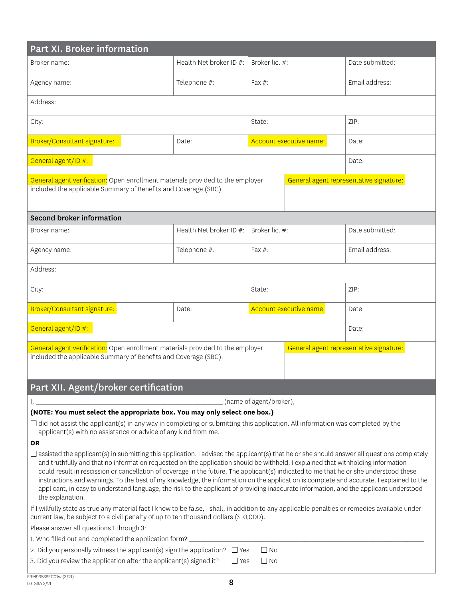| Part XI. Broker information                                                                                                                                                                                                                                                                                                                                                                                                                                                                                                                                                                                                                                                                                                                           |                         |                         |                         |                                         |  |  |  |
|-------------------------------------------------------------------------------------------------------------------------------------------------------------------------------------------------------------------------------------------------------------------------------------------------------------------------------------------------------------------------------------------------------------------------------------------------------------------------------------------------------------------------------------------------------------------------------------------------------------------------------------------------------------------------------------------------------------------------------------------------------|-------------------------|-------------------------|-------------------------|-----------------------------------------|--|--|--|
| Broker name:                                                                                                                                                                                                                                                                                                                                                                                                                                                                                                                                                                                                                                                                                                                                          | Health Net broker ID #: | Broker lic. #:          |                         | Date submitted:                         |  |  |  |
| Agency name:                                                                                                                                                                                                                                                                                                                                                                                                                                                                                                                                                                                                                                                                                                                                          | Telephone #:            | Fax $#$ :               |                         | Email address:                          |  |  |  |
| Address:                                                                                                                                                                                                                                                                                                                                                                                                                                                                                                                                                                                                                                                                                                                                              |                         |                         |                         |                                         |  |  |  |
| City:                                                                                                                                                                                                                                                                                                                                                                                                                                                                                                                                                                                                                                                                                                                                                 |                         | State:                  |                         | ZIP:                                    |  |  |  |
| Broker/Consultant signature:                                                                                                                                                                                                                                                                                                                                                                                                                                                                                                                                                                                                                                                                                                                          | Date:                   |                         | Account executive name: | Date:                                   |  |  |  |
| General agent/ID #:<br>Date:                                                                                                                                                                                                                                                                                                                                                                                                                                                                                                                                                                                                                                                                                                                          |                         |                         |                         |                                         |  |  |  |
| General agent verification: Open enrollment materials provided to the employer<br>included the applicable Summary of Benefits and Coverage (SBC).                                                                                                                                                                                                                                                                                                                                                                                                                                                                                                                                                                                                     |                         |                         |                         | General agent representative signature: |  |  |  |
| <b>Second broker information</b>                                                                                                                                                                                                                                                                                                                                                                                                                                                                                                                                                                                                                                                                                                                      |                         |                         |                         |                                         |  |  |  |
| Broker name:                                                                                                                                                                                                                                                                                                                                                                                                                                                                                                                                                                                                                                                                                                                                          | Health Net broker ID #: | Broker lic. #:          |                         | Date submitted:                         |  |  |  |
| Agency name:                                                                                                                                                                                                                                                                                                                                                                                                                                                                                                                                                                                                                                                                                                                                          | Telephone #:            | Fax $#$ :               |                         | Email address:                          |  |  |  |
| Address:                                                                                                                                                                                                                                                                                                                                                                                                                                                                                                                                                                                                                                                                                                                                              |                         |                         |                         |                                         |  |  |  |
| City:                                                                                                                                                                                                                                                                                                                                                                                                                                                                                                                                                                                                                                                                                                                                                 |                         | State:                  |                         | ZIP:                                    |  |  |  |
| Broker/Consultant signature:                                                                                                                                                                                                                                                                                                                                                                                                                                                                                                                                                                                                                                                                                                                          | Date:                   |                         | Account executive name: | Date:                                   |  |  |  |
| General agent/ID #:                                                                                                                                                                                                                                                                                                                                                                                                                                                                                                                                                                                                                                                                                                                                   |                         |                         |                         | Date:                                   |  |  |  |
| General agent verification: Open enrollment materials provided to the employer<br>included the applicable Summary of Benefits and Coverage (SBC).                                                                                                                                                                                                                                                                                                                                                                                                                                                                                                                                                                                                     |                         |                         |                         | General agent representative signature: |  |  |  |
| Part XII. Agent/broker certification                                                                                                                                                                                                                                                                                                                                                                                                                                                                                                                                                                                                                                                                                                                  |                         |                         |                         |                                         |  |  |  |
|                                                                                                                                                                                                                                                                                                                                                                                                                                                                                                                                                                                                                                                                                                                                                       |                         | (name of agent/broker), |                         |                                         |  |  |  |
| (NOTE: You must select the appropriate box. You may only select one box.)                                                                                                                                                                                                                                                                                                                                                                                                                                                                                                                                                                                                                                                                             |                         |                         |                         |                                         |  |  |  |
| $\Box$ did not assist the applicant(s) in any way in completing or submitting this application. All information was completed by the<br>applicant(s) with no assistance or advice of any kind from me.                                                                                                                                                                                                                                                                                                                                                                                                                                                                                                                                                |                         |                         |                         |                                         |  |  |  |
| <b>OR</b><br>$\Box$ assisted the applicant(s) in submitting this application. I advised the applicant(s) that he or she should answer all questions completely<br>and truthfully and that no information requested on the application should be withheld. I explained that withholding information<br>could result in rescission or cancellation of coverage in the future. The applicant(s) indicated to me that he or she understood these<br>instructions and warnings. To the best of my knowledge, the information on the application is complete and accurate. I explained to the<br>applicant, in easy to understand language, the risk to the applicant of providing inaccurate information, and the applicant understood<br>the explanation. |                         |                         |                         |                                         |  |  |  |
| If I willfully state as true any material fact I know to be false, I shall, in addition to any applicable penalties or remedies available under<br>current law, be subject to a civil penalty of up to ten thousand dollars (\$10,000).                                                                                                                                                                                                                                                                                                                                                                                                                                                                                                               |                         |                         |                         |                                         |  |  |  |
| Please answer all questions 1 through 3:                                                                                                                                                                                                                                                                                                                                                                                                                                                                                                                                                                                                                                                                                                              |                         |                         |                         |                                         |  |  |  |
| 1. Who filled out and completed the application form? ______                                                                                                                                                                                                                                                                                                                                                                                                                                                                                                                                                                                                                                                                                          |                         |                         |                         |                                         |  |  |  |
| 2. Did you personally witness the applicant(s) sign the application? $\Box$ Yes                                                                                                                                                                                                                                                                                                                                                                                                                                                                                                                                                                                                                                                                       |                         | $\Box$ No               |                         |                                         |  |  |  |
| 3. Did you review the application after the applicant(s) signed it?<br>$\Box$ No<br>$\Box$ Yes                                                                                                                                                                                                                                                                                                                                                                                                                                                                                                                                                                                                                                                        |                         |                         |                         |                                         |  |  |  |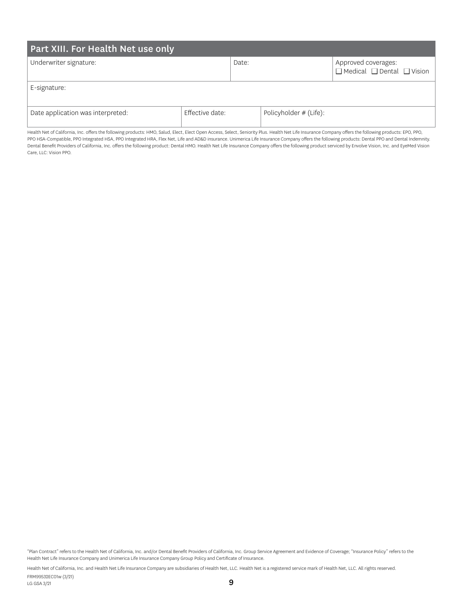| Part XIII. For Health Net use only |                 |       |                          |                                                                   |  |  |  |  |  |
|------------------------------------|-----------------|-------|--------------------------|-------------------------------------------------------------------|--|--|--|--|--|
| Underwriter signature:             |                 | Date: |                          | Approved coverages:<br>$\Box$ Medical $\Box$ Dental $\Box$ Vision |  |  |  |  |  |
| E-signature:                       |                 |       |                          |                                                                   |  |  |  |  |  |
| Date application was interpreted:  | Effective date: |       | Policyholder $#$ (Life): |                                                                   |  |  |  |  |  |

Health Net of California, Inc. offers the following products: HMO, Salud, Elect, Elect Open Access, Select, Seniority Plus. Health Net Life Insurance Company offers the following products: EPO, PPO, PPO HSA-Compatible, PPO Integrated HSA, PPO Integrated HRA, Flex Net, Life and AD&D insurance. Unimerica Life Insurance Company offers the following products: Dental PPO and Dental Indemnity. Dental Benefit Providers of California, Inc. offers the following product: Dental HMO. Health Net Life Insurance Company offers the following product serviced by Envolve Vision, Inc. and EyeMed Vision Care, LLC: Vision PPO.

"Plan Contract" refers to the Health Net of California, Inc. and/or Dental Benefit Providers of California, Inc. Group Service Agreement and Evidence of Coverage; "Insurance Policy" refers to the Health Net Life Insurance Company and Unimerica Life Insurance Company Group Policy and Certificate of Insurance.

Health Net of California, Inc. and Health Net Life Insurance Company are subsidiaries of Health Net, LLC. Health Net is a registered service mark of Health Net, LLC. All rights reserved.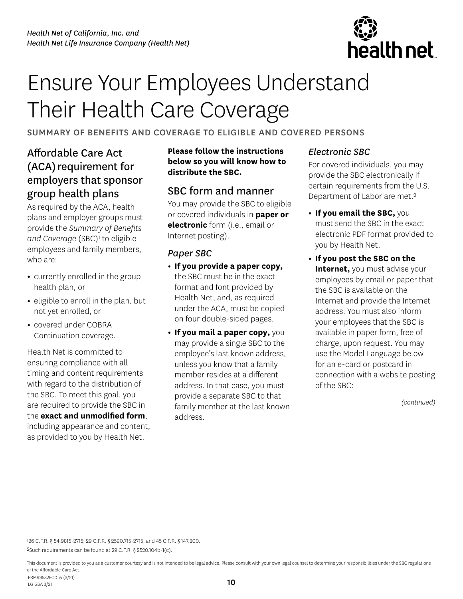

# Ensure Your Employees Understand Their Health Care Coverage

## SUMMARY OF BENEFITS AND COVERAGE TO ELIGIBLE AND COVERED PERSONS

## Affordable Care Act (ACA) requirement for employers that sponsor group health plans

As required by the ACA, health plans and employer groups must provide the *Summary of Benefits*  and Coverage (SBC)<sup>1</sup> to eligible employees and family members, who are:

- **•** currently enrolled in the group health plan, or
- **•** eligible to enroll in the plan, but not yet enrolled, or
- **•** covered under COBRA Continuation coverage.

Health Net is committed to ensuring compliance with all timing and content requirements with regard to the distribution of the SBC. To meet this goal, you are required to provide the SBC in the **exact and unmodified form**, including appearance and content, as provided to you by Health Net.

**Please follow the instructions below so you will know how to distribute the SBC.** 

## SBC form and manner

You may provide the SBC to eligible or covered individuals in **paper or electronic** form (i.e., email or Internet posting).

## *Paper SBC*

- **• If you provide a paper copy,** the SBC must be in the exact format and font provided by Health Net, and, as required under the ACA, must be copied on four double-sided pages.
- **• If you mail a paper copy,** you may provide a single SBC to the employee's last known address, unless you know that a family member resides at a different address. In that case, you must provide a separate SBC to that family member at the last known address.

## *Electronic SBC*

For covered individuals, you may provide the SBC electronically if certain requirements from the U.S. Department of Labor are met.2

- **• If you email the SBC,** you must send the SBC in the exact electronic PDF format provided to you by Health Net.
- **• If you post the SBC on the Internet,** you must advise your employees by email or paper that the SBC is available on the Internet and provide the Internet address. You must also inform your employees that the SBC is available in paper form, free of charge, upon request. You may use the Model Language below for an e-card or postcard in connection with a website posting of the SBC:

*(continued)* 

126 C.F.R. § 54.9815-2715; 29 C.F.R. § 2590.715-2715; and 45 C.F.R. § 147.200.

2Such requirements can be found at 29 C.F.R. § 2520.104b-1(c).

This document is provided to you as a customer courtesy and is not intended to be legal advice. Please consult with your own legal counsel to determine your responsibilities under the SBC regulations of the Affordable Care Act. FRM99532EC01w (3/21)